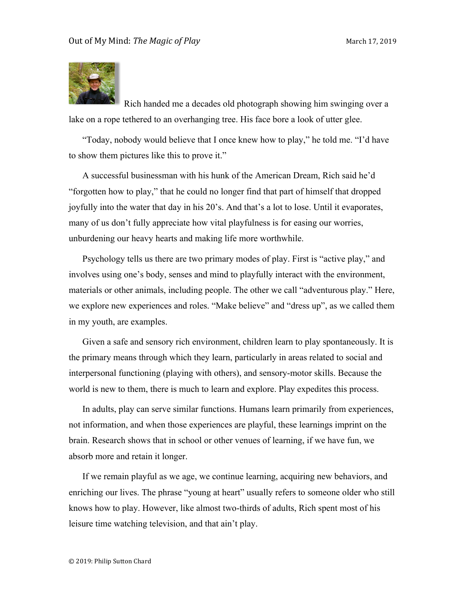

Rich handed me a decades old photograph showing him swinging over a lake on a rope tethered to an overhanging tree. His face bore a look of utter glee.

"Today, nobody would believe that I once knew how to play," he told me. "I'd have to show them pictures like this to prove it."

A successful businessman with his hunk of the American Dream, Rich said he'd "forgotten how to play," that he could no longer find that part of himself that dropped joyfully into the water that day in his 20's. And that's a lot to lose. Until it evaporates, many of us don't fully appreciate how vital playfulness is for easing our worries, unburdening our heavy hearts and making life more worthwhile.

Psychology tells us there are two primary modes of play. First is "active play," and involves using one's body, senses and mind to playfully interact with the environment, materials or other animals, including people. The other we call "adventurous play." Here, we explore new experiences and roles. "Make believe" and "dress up", as we called them in my youth, are examples.

Given a safe and sensory rich environment, children learn to play spontaneously. It is the primary means through which they learn, particularly in areas related to social and interpersonal functioning (playing with others), and sensory-motor skills. Because the world is new to them, there is much to learn and explore. Play expedites this process.

In adults, play can serve similar functions. Humans learn primarily from experiences, not information, and when those experiences are playful, these learnings imprint on the brain. Research shows that in school or other venues of learning, if we have fun, we absorb more and retain it longer.

If we remain playful as we age, we continue learning, acquiring new behaviors, and enriching our lives. The phrase "young at heart" usually refers to someone older who still knows how to play. However, like almost two-thirds of adults, Rich spent most of his leisure time watching television, and that ain't play.